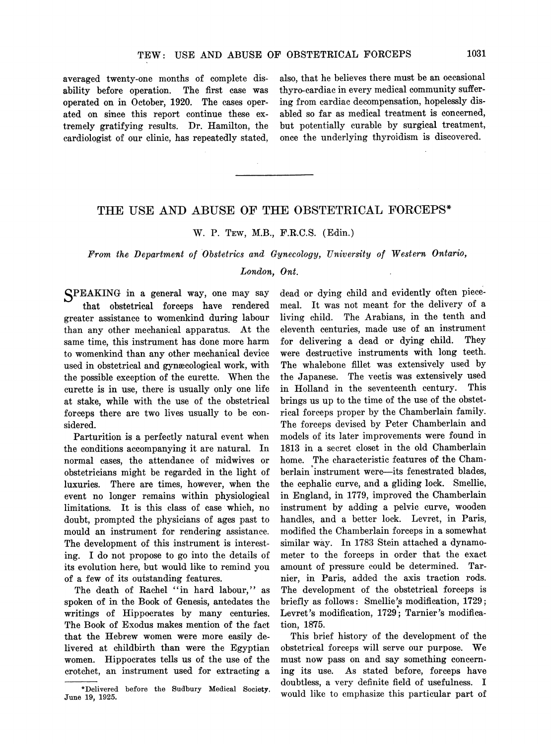averaged twenty-one months of complete disability before operation. The first case was operated on in October, 1920. The cases operated on since this report continue these extremely gratifying results. Dr. Hamilton, the cardiologist of our clinic, has repeatedly stated, also, that he believes there must be an occasional thyro-cardiac in every medical community suffering from cardiac decompensation, hopelessly disabled so far as medical treatment is concerned, but potentially curable by surgical treatment, once the underlying thyroidism is discovered.

## THE USE AND ABUSE OF THE OBSTETRICAL FORCEPS\*

### W. P. TEW, M.B., F.R.C.S. (Edin.)

# From the Department of Obstetrics and Gynecology, University of Western Ontario,

# London, Ont.

SPEAKING in a general way, one may say that obstetrical forceps have rendered greater assistance to womenkind during labour than any other mechanical apparatus. At the same time, this instrument has done more harm to womenkind than any other mechanical device used in obstetrical and gynaecological work, with the possible exception of the curette. When the curette is in use, there is usually only one life at stake, while with the use of the obstetrical forceps there are two lives usually to be considered.

Parturition is a perfectly natural event when the conditions accompanying it are natural. In normal cases, the attendance of midwives or obstetricians might be regarded in the light of luxuries. There are times, however, when the event no longer remains within physiological limitations. It is this class of case which, no doubt, prompted the physicians of ages past to mould an instrument for rendering assistance. The development of this instrument is interesting. I do not propose to go into the details of its evolution here, but would like to remind you of a few of its outstanding features.

The death of Rachel "in hard labour," as spoken of in the Book of Genesis, antedates the writings of Hippocrates by many centuries. The Book of Exodus makes mention of the fact that the Hebrew women were more easily delivered at childbirth than were the Egyptian women. Hippocrates tells us of the use of the crotchet, an instrument used for extracting a dead or dying child and evidently often piecemeal. It was not meant for the delivery of a living child. The Arabians, in the tenth and eleventh centuries, made use of an instrument for delivering a dead or dying child. They were destructive instruments with long teeth. The whalebone fillet was extensively used by the Japanese. The vectis was extensively used in Holland in the seventeenth century. This brings us up to the time of the use of the obstetrical forceps proper by the Chamberlain family. The forceps devised by Peter Chamberlain and models of its later improvements were found in 1813 in a secret closet in the old Chamberlain home. The characteristic features of the Chamberlain instrument were-its fenestrated blades, the cephalic curve, and a gliding lock. Smellie, in England, in 1779, improved the Chamberlain instrument by adding a pelvic curve, wooden handles, and a better lock. Levret, in Paris, modified the Chamberlain forceps in a somewhat similar way. In 1783 Stein attached a dynamometer to the forceps in order that the exact amount of pressure could be determined. Tarnier, in Paris, added the axis traction rods. The development of the obstetrical forceps is briefly as follows: Smellie's modification, 1729; Levret's modification, 1729; Tarnier's modification, 1875.

This brief history of the development of the obstetrical forceps will serve our purpose. We must now pass on and say something concerning its use. As stated before, forceps have doubtless, a very definite field of usefulness. I would like to emphasize this particular part of

<sup>\*</sup>Delivered before the Sudbury Medical Society, June 19, 1925.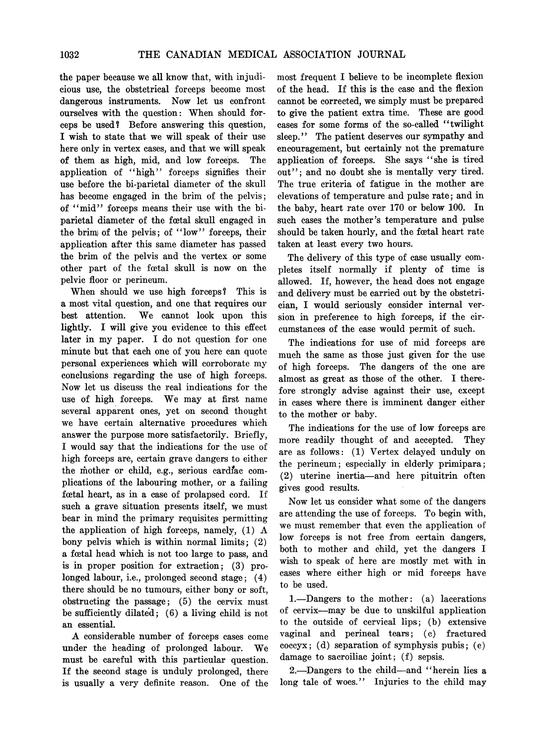the paper because we all know that, with injudicious use, the obstetrical forceps become most dangerous instruments. Now let us confront ourselves with the question: When should forceps be used? Before answering this question, <sup>I</sup> wish to state that we will speak of their use here only in vertex cases, and that we will speak of them as high, mid, and low forceps. The application of "high" forceps signifies their use before the bi-parietal diameter of the skull has become engaged in the brim of the pelvis; of "mid" forceps means their use with the biparietal diameter of the feetal skull engaged in the brim of the pelvis; of "low" forceps, their application after this same diameter has passed the brim of the pelvis and the vertex or some other part of the foetal skull is now on the pelvic floor or perineum.

When should we use high forceps? This is a most vital question, and one that requires our best attention. We cannot look upon this lightly. I will give you evidence to this effect later in my paper. <sup>I</sup> do not question for one minute but that each one of you here can quote personal experiences which will corroborate my conclusions regarding the use of high forceps. Now let us discuss the real indications for the use of high forceps. We may at first name several apparent ones, yet on second thought we have certain alternative procedures which answer the purpose more satisfactorily. Briefly, I would say that the indications for the use of high forceps are, certain grave dangers to either the mother or child, e.g., serious cardiac complications of the labouring mother, or a failing foetal heart, as in a case of prolapsed cord. If such a grave situation presents itself, we must bear in mind the primary requisites permitting the application of high forceps, namely, (1) A bony pelvis which is within normal limits; (2) a fcetal head which is not too large to pass, and is in proper position for extraction; (3) prolonged labour, i.e., prolonged second stage; (4) there should be no tumours, either bony or soft, obstructing the passage; (5) the cervix must be sufficiently dilated; (6) a living child is not an essential.

A considerable number of forceps cases come under the heading of prolonged labour. We must be careful with this particular question. If the second stage is unduly prolonged, there is usually a very definite reason. One of the most frequent I believe to be incomplete flexion of the head. If this is the case and the flexion cannot be corrected, we simply must be prepared to give the patient extra time. These are good cases for some forms of the so-called "twilight sleep." The patient deserves our sympathy and encouragement, but certainly not the premature application of forceps. She says "she is tired out"; and no doubt she is mentally very tired. The true criteria of fatigue in the mother are elevations of temperature and pulse rate; and in the baby, heart rate over 170 or below 100. In such cases the mother's temperature and pulse should be taken hourly, and the feetal heart rate taken at least every two hours.

The delivery of this type of case usually completes itself normally if plenty of time is allowed. If, however, the head does not engage and delivery must be carried out by the obstetrician, I would seriously consider internal version in preference to high forceps, if the circumstances of the case would permit of such.

The indications for use of mid forceps are much the same as those just given for the use of high forceps. The dangers of the one are almost as great as those of the other. I therefore strongly advise against their use, except in cases where there is imminent danger either to the mother or baby.

The indications for the use of low forceps are more readily thought of and accepted. They are as follows: (1) Vertex delayed unduly on the perineum; especially in elderly primipara; (2) uterine inertia-and here pituitrin often gives good results.

Now let us consider what some of the dangers are attending the use of forceps. To begin with, we must remember that even the application of low forceps is not free from certain dangers, both to mother and child, yet the dangers I wish to speak of here are mostly met with in cases where either high or mid forceps have to be used.

1.-Dangers to the mother: (a) lacerations of cervix-may be due to unskilful application to the outside of cervical lips; (b) extensive vaginal and perineal tears; (c) fractured coccyx; (d) separation of symphysis pubis; (e) damage to sacroiliac joint; (f) sepsis.

2.-Dangers to the child-and "herein lies a long tale of woes." Injuries to the child may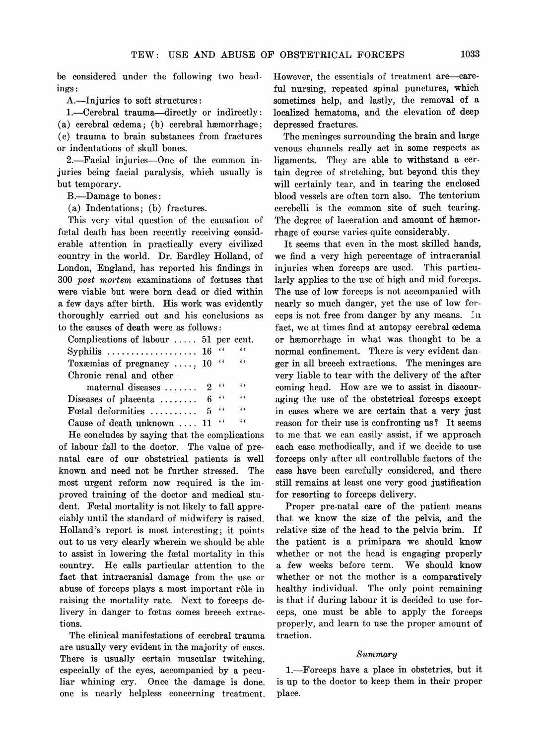he considered under the following two headings:

A.-Injuries to soft structures:

1.-Cerebral trauma-directly or indirectly: (a) cerebral cedema; (b) cerebral hæmorrhage; (c) trauma to brain substances from fractures or indentations of skull bones.

2.-Facial injuries-One of the common injuries being facial paralysis, which usually is but temporary.

B.-Damage to bones:

(a) Indentations; (b) fractures.

This very vital question of the causation of fortal death has been recently receiving considerable attention in practically every civilized country in the world. Dr. Eardley Holland, of London, England, has reported his findings in 300 post mortem examinations of feetuses that were viable but were born dead or died within a few days after birth. His work was evidently thoroughly carried out and his conclusions as to the causes of death were as follows:

| Complications of labour $\ldots$ 51 per cent.           |             |                |
|---------------------------------------------------------|-------------|----------------|
| Syphilis $\ldots \ldots \ldots \ldots \ldots \ldots 16$ |             | $\epsilon$     |
| Toxæmias of pregnancy $10$                              | $\epsilon$  | $\epsilon$     |
| Chronic renal and other                                 |             |                |
| $material$ diseases $\ldots$                            | $2$ "       | $\sim$ 6.6     |
| Diseases of placenta $\ldots$                           | $6$ $\cdot$ | $\sim$ $\sim$  |
| Fortal deformities $\ldots$                             | $5$ "       | $\overline{a}$ |
| Cause of death unknown  11                              | 66          | $\epsilon$     |

He concludes by saying that the complications of labour fall to the doctor. The value of prenatal care of our obstetrical patients is well known and need not be further stressed. The most urgent reform now required is the improved training of the doctor and medical student. Fortal mortality is not likely to fall appreciably until the standard of midwifery is raised. Holland's report is most interesting; it points out to us very clearly wherein we should be able to assist in lowering the fortal mortality in this country. He calls particular attention to the fact that intracranial damage from the use or abuse of forceps plays a most important rôle in raising the mortality rate. Next to forceps delivery in danger to fœtus comes breech extractions.

The clinical manifestations of cerebral trauma are usually very evident in the majority of cases. There is usually certain muscular twitching, especially of the eyes, accompanied by a peculiar whining cry. Once the damage is done. one is nearly helpless concerning treatment.

However, the essentials of treatment are-careful nursing, repeated spinal punctures, which sometimes help, and lastly, the removal of a localized hematoma, and the elevation of deep depressed fractures.

The meninges surrounding the brain and large venous channels really act in some respects as ligaments. They are able to withstand a certain degree of stretching, but beyond this they will certainly tear, and in tearing the enclosed blood vessels are often torn also. The tentorium cerebelli is the common site of such tearing. The degree of laceration and amount of hemorrhage of course varies quite considerably.

It seems that even in the most skilled hands, we find a very high percentage of intracranial injuries when forceps are used. This particularly applies to the use of high and mid forceps. The use of low forceps is not accompanied with nearly so much danger, yet the use of low forceps is not free from danger by any means. In fact, we at times find at autopsy cerebral cedema or haemorrhage in what was thought to be a normal confinement. There is very evident danger in all breech extractions. The meninges are very liable to tear with the delivery of the after coming head. How are we to assist in discouraging the use of the obstetrical forceps except in cases where we are certain that a very just reason for their use is confronting us? It seems to me that we can easily assist, if we approach each case methodically, and if we decide to use forceps only after all controllable factors of the case have been carefully considered, and there still remains at least one very good justification for resorting to forceps delivery.

Proper pre-natal care of the patient means that we know the size of the pelvis, and the relative size of the head to the pelvic brim. If the patient is a primipara we should know whether or not the head is engaging properly <sup>a</sup> few weeks before term. We should know whether or not the mother is a comparatively healthy individual. The only point remaining is that if during labour it is decided to use forceps, one must be able to apply the forceps properly, and learn to use the proper amount of traction.

#### Summary

1.-Forceps have a place in obstetrics, but it is up to the doctor to keep them in their proper place.